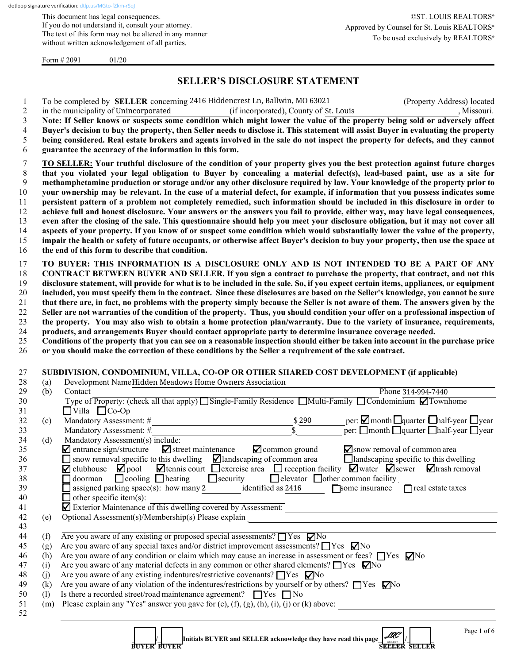This document has legal consequences. If you do not understand it, consult your attorney. The text of this form may not be altered in any manner without written acknowledgement of all parties.

Form  $\# 2091$  01/20

# **SELLER'S DISCLOSURE STATEMENT**

1 To be completed by **SELLER** concerning 2416 Hiddencrest Ln, Ballwin, MO 63021 (Property Address) located

| 2                          |     | in the municipality of Unincorporated                                                                                                              | (if incorporated), County of St. Louis                          | , Missouri.                                                                                                                                                       |
|----------------------------|-----|----------------------------------------------------------------------------------------------------------------------------------------------------|-----------------------------------------------------------------|-------------------------------------------------------------------------------------------------------------------------------------------------------------------|
| 3                          |     |                                                                                                                                                    |                                                                 | Note: If Seller knows or suspects some condition which might lower the value of the property being sold or adversely affect                                       |
| 4                          |     |                                                                                                                                                    |                                                                 | Buyer's decision to buy the property, then Seller needs to disclose it. This statement will assist Buyer in evaluating the property                               |
| 5                          |     |                                                                                                                                                    |                                                                 | being considered. Real estate brokers and agents involved in the sale do not inspect the property for defects, and they cannot                                    |
| 6                          |     | guarantee the accuracy of the information in this form.                                                                                            |                                                                 |                                                                                                                                                                   |
|                            |     |                                                                                                                                                    |                                                                 |                                                                                                                                                                   |
| 7                          |     |                                                                                                                                                    |                                                                 | <b>TO SELLER:</b> Your truthful disclosure of the condition of your property gives you the best protection against future charges                                 |
| $\,8\,$                    |     |                                                                                                                                                    |                                                                 | that you violated your legal obligation to Buyer by concealing a material defect(s), lead-based paint, use as a site for                                          |
| 9                          |     |                                                                                                                                                    |                                                                 | methamphetamine production or storage and/or any other disclosure required by law. Your knowledge of the property prior to                                        |
| $10\,$                     |     |                                                                                                                                                    |                                                                 | your ownership may be relevant. In the case of a material defect, for example, if information that you possess indicates some                                     |
| 11                         |     |                                                                                                                                                    |                                                                 | persistent pattern of a problem not completely remedied, such information should be included in this disclosure in order to                                       |
| 12                         |     |                                                                                                                                                    |                                                                 | achieve full and honest disclosure. Your answers or the answers you fail to provide, either way, may have legal consequences,                                     |
| 13                         |     |                                                                                                                                                    |                                                                 |                                                                                                                                                                   |
|                            |     |                                                                                                                                                    |                                                                 | even after the closing of the sale. This questionnaire should help you meet your disclosure obligation, but it may not cover all                                  |
| 14                         |     |                                                                                                                                                    |                                                                 | aspects of your property. If you know of or suspect some condition which would substantially lower the value of the property,                                     |
| 15                         |     |                                                                                                                                                    |                                                                 | impair the health or safety of future occupants, or otherwise affect Buyer's decision to buy your property, then use the space at                                 |
| 16                         |     | the end of this form to describe that condition.                                                                                                   |                                                                 |                                                                                                                                                                   |
| 17                         |     |                                                                                                                                                    |                                                                 | TO BUYER: THIS INFORMATION IS A DISCLOSURE ONLY AND IS NOT INTENDED TO BE A PART OF ANY                                                                           |
| 18                         |     |                                                                                                                                                    |                                                                 | CONTRACT BETWEEN BUYER AND SELLER. If you sign a contract to purchase the property, that contract, and not this                                                   |
|                            |     |                                                                                                                                                    |                                                                 |                                                                                                                                                                   |
| 19                         |     |                                                                                                                                                    |                                                                 | disclosure statement, will provide for what is to be included in the sale. So, if you expect certain items, appliances, or equipment                              |
| 20                         |     |                                                                                                                                                    |                                                                 | included, you must specify them in the contract. Since these disclosures are based on the Seller's knowledge, you cannot be sure                                  |
| 21                         |     |                                                                                                                                                    |                                                                 | that there are, in fact, no problems with the property simply because the Seller is not aware of them. The answers given by the                                   |
| 22                         |     |                                                                                                                                                    |                                                                 | Seller are not warranties of the condition of the property. Thus, you should condition your offer on a professional inspection of                                 |
| 23                         |     |                                                                                                                                                    |                                                                 | the property. You may also wish to obtain a home protection plan/warranty. Due to the variety of insurance, requirements,                                         |
| 24                         |     | products, and arrangements Buyer should contact appropriate party to determine insurance coverage needed.                                          |                                                                 |                                                                                                                                                                   |
| 25                         |     |                                                                                                                                                    |                                                                 | Conditions of the property that you can see on a reasonable inspection should either be taken into account in the purchase price                                  |
| 26                         |     | or you should make the correction of these conditions by the Seller a requirement of the sale contract.                                            |                                                                 |                                                                                                                                                                   |
| 27<br>28                   | (a) | SUBDIVISION, CONDOMINIUM, VILLA, CO-OP OR OTHER SHARED COST DEVELOPMENT (if applicable)<br>Development Name Hidden Meadows Home Owners Association |                                                                 |                                                                                                                                                                   |
|                            |     |                                                                                                                                                    |                                                                 |                                                                                                                                                                   |
| 29                         | (b) | Contact                                                                                                                                            |                                                                 | Phone 314-994-7440                                                                                                                                                |
| 30                         |     | Type of Property: (check all that apply) Single-Family Residence Multi-Family Condominium $\Box$ Townhome                                          |                                                                 |                                                                                                                                                                   |
| 31                         |     | $\Box$ Villa $\Box$ Co-Op                                                                                                                          |                                                                 |                                                                                                                                                                   |
| 32                         | (c) | Mandatory Assessment: #                                                                                                                            | \$290                                                           | per: $\Box$ month $\Box$ quarter $\Box$ half-year $\Box$ year                                                                                                     |
| 33                         |     | Mandatory Assessment: #                                                                                                                            | $\bar{s}$                                                       | per: $\Box$ month $\Box$ quarter $\Box$ half-year $\Box$ year                                                                                                     |
| 34                         | (d) | Mandatory Assessment(s) include:                                                                                                                   |                                                                 |                                                                                                                                                                   |
| 35                         |     | $\blacksquare$ entrance sign/structure<br>$\blacksquare$ street maintenance                                                                        | $\blacksquare$ common ground                                    | Snow removal of common area                                                                                                                                       |
| 36                         |     | $\Box$ snow removal specific to this dwelling                                                                                                      | Iandscaping of common area                                      | $\Box$ landscaping specific to this dwelling                                                                                                                      |
| 37                         |     | $\mathbf Z$ clubhouse<br>$\blacktriangleright$ pool                                                                                                |                                                                 | $\blacksquare$ tennis court $\blacksquare$ exercise area $\blacksquare$ reception facility $\blacksquare$ water $\blacksquare$ sewer $\blacksquare$ trash removal |
| 38                         |     | $\Box$ cooling $\Box$ heating<br>$\Box$ doorman                                                                                                    | $\Box$ security<br>$\Box$ elevator $\Box$ other common facility |                                                                                                                                                                   |
| 39                         |     | $\Box$ assigned parking space(s): how many 2                                                                                                       | identified as 2416                                              |                                                                                                                                                                   |
|                            |     |                                                                                                                                                    |                                                                 | Some insurance Treal estate taxes                                                                                                                                 |
|                            |     | $\Box$ other specific item(s):                                                                                                                     |                                                                 |                                                                                                                                                                   |
|                            |     | Exterior Maintenance of this dwelling covered by Assessment:                                                                                       |                                                                 |                                                                                                                                                                   |
| 40<br>41<br>42             | (e) | Optional Assessment(s)/Membership(s) Please explain                                                                                                |                                                                 |                                                                                                                                                                   |
| 43                         |     |                                                                                                                                                    |                                                                 |                                                                                                                                                                   |
| 44                         | (f) | Are you aware of any existing or proposed special assessments? $\Box$ Yes $\nabla$ No                                                              |                                                                 |                                                                                                                                                                   |
| 45                         | (g) | Are you aware of any special taxes and/or district improvement assessments? $\Box$ Yes $\nabla$ No                                                 |                                                                 |                                                                                                                                                                   |
| 46                         | (h) | Are you aware of any condition or claim which may cause an increase in assessment or fees? □ Yes □ No                                              |                                                                 |                                                                                                                                                                   |
|                            | (i) | Are you aware of any material defects in any common or other shared elements? $\Box$ Yes $\nabla$ No                                               |                                                                 |                                                                                                                                                                   |
|                            | (j) | Are you aware of any existing indentures/restrictive covenants? TYes MNo                                                                           |                                                                 |                                                                                                                                                                   |
|                            | (k) | Are you aware of any violation of the indentures/restrictions by yourself or by others? $\Box$ Yes $\Box$ You                                      |                                                                 |                                                                                                                                                                   |
|                            | (1) | Is there a recorded street/road maintenance agreement? $\Box$ Yes $\Box$ No                                                                        |                                                                 |                                                                                                                                                                   |
| 47<br>48<br>49<br>50<br>51 | (m) | Please explain any "Yes" answer you gave for (e), (f), (g), (h), (i), (j) or (k) above:                                                            |                                                                 |                                                                                                                                                                   |
| 52                         |     |                                                                                                                                                    |                                                                 |                                                                                                                                                                   |
|                            |     |                                                                                                                                                    | Initials BUYER and SELLER acknowledge they have read this page  | Page 1 of 6<br>LAC                                                                                                                                                |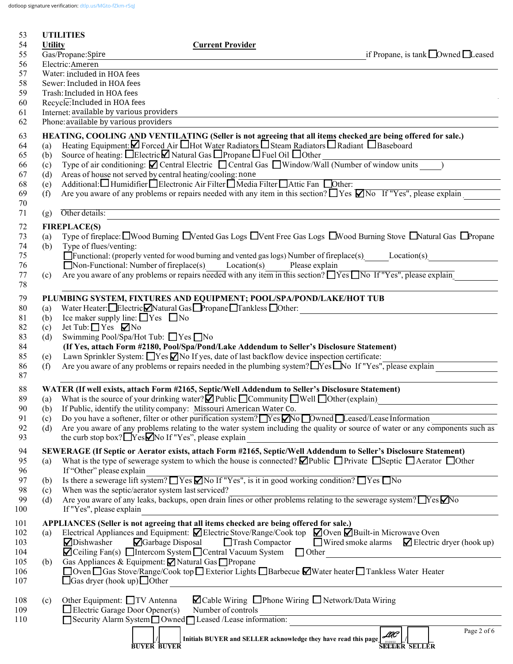dotloop signature verification: [dtlp.us/MGto-fZkm-rSqJ](https://dtlp.us/MGto-fZkm-rSqJ)

| 53         |                | <b>UTILITIES</b>                     |                                                                                   |                                                                                                                                                                                                                |                                                                                                                                                     |
|------------|----------------|--------------------------------------|-----------------------------------------------------------------------------------|----------------------------------------------------------------------------------------------------------------------------------------------------------------------------------------------------------------|-----------------------------------------------------------------------------------------------------------------------------------------------------|
| 54         | <b>Utility</b> |                                      |                                                                                   | <b>Current Provider</b>                                                                                                                                                                                        |                                                                                                                                                     |
| 55<br>56   |                | Gas/Propane:Spire<br>Electric:Ameren |                                                                                   |                                                                                                                                                                                                                | if Propane, is tank $\Box$ Owned $\Box$ Leased                                                                                                      |
| 57         |                | Water: included in HOA fees          |                                                                                   |                                                                                                                                                                                                                |                                                                                                                                                     |
| 58         |                | Sewer: Included in HOA fees          |                                                                                   |                                                                                                                                                                                                                |                                                                                                                                                     |
| 59         |                | Trash: Included in HOA fees          |                                                                                   |                                                                                                                                                                                                                |                                                                                                                                                     |
| 60         |                | Recycle: Included in HOA fees        |                                                                                   |                                                                                                                                                                                                                |                                                                                                                                                     |
| 61<br>62   |                |                                      | Internet: available by various providers<br>Phone: available by various providers |                                                                                                                                                                                                                |                                                                                                                                                     |
|            |                |                                      |                                                                                   |                                                                                                                                                                                                                |                                                                                                                                                     |
| 63<br>64   | (a)            |                                      |                                                                                   | Heating Equipment: Z Forced Air Hot Water Radiators D Steam Radiators D Radiant D Baseboard                                                                                                                    | HEATING, COOLING AND VENTILATING (Seller is not agreeing that all items checked are being offered for sale.)                                        |
| 65         | (b)            |                                      |                                                                                   | Source of heating: □Electric□ Natural Gas □ Propane □ Fuel Oil □ Other                                                                                                                                         |                                                                                                                                                     |
| 66         | (c)            |                                      |                                                                                   |                                                                                                                                                                                                                | Type of air conditioning: $\Box$ Central Electric $\Box$ Central Gas $\Box$ Window/Wall (Number of window units )                                   |
| 67         | (d)            |                                      | Areas of house not served by central heating/cooling: none                        |                                                                                                                                                                                                                |                                                                                                                                                     |
| 68         | (e)            |                                      |                                                                                   | Additional: Humidifier <i>Delectronic Air Filter Dela Filter DAttic Fan</i> Dother:                                                                                                                            |                                                                                                                                                     |
| 69<br>70   | (f)            |                                      |                                                                                   |                                                                                                                                                                                                                | Are you aware of any problems or repairs needed with any item in this section? $\Box$ Yes $\Box$ No If "Yes", please explain                        |
| 71         | (g)            | Other details:                       |                                                                                   |                                                                                                                                                                                                                |                                                                                                                                                     |
| 72         |                | <b>FIREPLACE(S)</b>                  |                                                                                   |                                                                                                                                                                                                                |                                                                                                                                                     |
| 73         | (a)            |                                      |                                                                                   |                                                                                                                                                                                                                | Type of fireplace: $\Box$ Wood Burning $\Box$ Vented Gas Logs $\Box$ Vent Free Gas Logs $\Box$ Wood Burning Stove $\Box$ Natural Gas $\Box$ Propane |
| 74         | (b)            | Type of flues/venting:               |                                                                                   |                                                                                                                                                                                                                |                                                                                                                                                     |
| 75         |                |                                      |                                                                                   |                                                                                                                                                                                                                | $\Box$ Functional: (properly vented for wood burning and vented gas logs) Number of fireplace(s) Location(s)                                        |
| 76         |                |                                      |                                                                                   | ■ Non-Functional: Number of fireplace(s) Location(s) Please explain                                                                                                                                            |                                                                                                                                                     |
| 77<br>78   | (c)            |                                      |                                                                                   |                                                                                                                                                                                                                | Are you aware of any problems or repairs needed with any item in this section? $\Box$ Yes $\Box$ No If "Yes", please explain                        |
|            |                |                                      |                                                                                   | PLUMBING SYSTEM, FIXTURES AND EQUIPMENT; POOL/SPA/POND/LAKE/HOT TUB                                                                                                                                            |                                                                                                                                                     |
| 79<br>80   | (a)            |                                      |                                                                                   | Water Heater: Electric Natural Gas Propane Tankless Other:                                                                                                                                                     |                                                                                                                                                     |
| 81         | (b)            |                                      | Ice maker supply line: $\Box$ Yes $\Box$ No                                       |                                                                                                                                                                                                                |                                                                                                                                                     |
| 82         | (c)            | Jet Tub: $\Box$ Yes $\nabla$ No      |                                                                                   |                                                                                                                                                                                                                |                                                                                                                                                     |
| 83         | (d)            |                                      | Swimming Pool/Spa/Hot Tub: ■ Yes ■ No                                             |                                                                                                                                                                                                                |                                                                                                                                                     |
| 84<br>85   |                |                                      |                                                                                   | (If Yes, attach Form #2180, Pool/Spa/Pond/Lake Addendum to Seller's Disclosure Statement)<br>Lawn Sprinkler System: Nes No If yes, date of last backflow device inspection certificate:                        |                                                                                                                                                     |
| 86         | (e)<br>(f)     |                                      |                                                                                   | Are you aware of any problems or repairs needed in the plumbing system? $\Box$ Yes $\Box$ No If "Yes", please explain                                                                                          |                                                                                                                                                     |
| 87         |                |                                      |                                                                                   |                                                                                                                                                                                                                |                                                                                                                                                     |
| 88         |                |                                      |                                                                                   | WATER (If well exists, attach Form #2165, Septic/Well Addendum to Seller's Disclosure Statement)                                                                                                               |                                                                                                                                                     |
| 89         |                |                                      |                                                                                   | (a) What is the source of your drinking water? $\Box$ Public $\Box$ Community $\Box$ Well $\Box$ Other (explain)                                                                                               |                                                                                                                                                     |
| 90         | (b)            |                                      |                                                                                   | If Public, identify the utility company: Missouri American Water Co.                                                                                                                                           |                                                                                                                                                     |
| 91         | (c)            |                                      |                                                                                   | Do you have a softener, filter or other purification system? $\Box$ Yes $\Box$ No $\Box$ Owned $\Box$ Leased/Lease Information                                                                                 |                                                                                                                                                     |
| 92<br>93   | (d)            |                                      | the curb stop box? Nessanto If "Yes", please explain                              |                                                                                                                                                                                                                | Are you aware of any problems relating to the water system including the quality or source of water or any components such as                       |
|            |                |                                      |                                                                                   |                                                                                                                                                                                                                | SEWERAGE (If Septic or Aerator exists, attach Form #2165, Septic/Well Addendum to Seller's Disclosure Statement)                                    |
| 94<br>95   | (a)            |                                      |                                                                                   |                                                                                                                                                                                                                | What is the type of sewerage system to which the house is connected? $\Box$ Public $\Box$ Private $\Box$ Septic $\Box$ Aerator $\Box$ Other         |
| 96         |                | If "Other" please explain            |                                                                                   |                                                                                                                                                                                                                |                                                                                                                                                     |
| 97         | (b)            |                                      |                                                                                   | Is there a sewerage lift system? $\Box$ Yes $\Box$ No If "Yes", is it in good working condition? $\Box$ Yes $\Box$ No                                                                                          |                                                                                                                                                     |
| 98         | (c)            |                                      | When was the septic/aerator system last serviced?                                 |                                                                                                                                                                                                                |                                                                                                                                                     |
| 99<br>100  | (d)            | If "Yes", please explain             |                                                                                   |                                                                                                                                                                                                                | Are you aware of any leaks, backups, open drain lines or other problems relating to the sewerage system? TYes No                                    |
|            |                |                                      |                                                                                   |                                                                                                                                                                                                                |                                                                                                                                                     |
| 101<br>102 | (a)            |                                      |                                                                                   | APPLIANCES (Seller is not agreeing that all items checked are being offered for sale.)<br>Electrical Appliances and Equipment: $\Box$ Electric Stove/Range/Cook top $\Box$ Oven $\Box$ Built-in Microwave Oven |                                                                                                                                                     |
| 103        |                | Dishwasher                           | Garbage Disposal                                                                  | Trash Compactor                                                                                                                                                                                                | ■ Wired smoke alarms<br>$\blacksquare$ Electric dryer (hook up)                                                                                     |
| 104        |                |                                      |                                                                                   | $\blacksquare$ Ceiling Fan(s) $\blacksquare$ Intercom System $\blacksquare$ Central Vacuum System $\blacksquare$ Other                                                                                         | <u> 1989 - Jan Stein, amerikansk politiker (</u>                                                                                                    |
| 105        | (b)            |                                      | Gas Appliances & Equipment: <b>Ø</b> Natural Gas □ Propane                        |                                                                                                                                                                                                                |                                                                                                                                                     |
| 106        |                |                                      |                                                                                   |                                                                                                                                                                                                                | □ Oven □ Gas Stove/Range/Cook top □ Exterior Lights □ Barbecue ■ Water heater □ Tankless Water Heater                                               |
| 107        |                |                                      | $\Box$ Gas dryer (hook up) $\Box$ Other                                           |                                                                                                                                                                                                                |                                                                                                                                                     |
| 108        | (c)            |                                      | Other Equipment: □ TV Antenna                                                     | $\Box$ Cable Wiring $\Box$ Phone Wiring $\Box$ Network/Data Wiring                                                                                                                                             |                                                                                                                                                     |
| 109        |                |                                      | $\Box$ Electric Garage Door Opener(s)                                             | Number of controls                                                                                                                                                                                             |                                                                                                                                                     |
| 110        |                |                                      |                                                                                   | Security Alarm System Owned Leased /Lease information:                                                                                                                                                         |                                                                                                                                                     |
|            |                |                                      |                                                                                   | Initials BUYER and SELLER acknowledge they have read this page $\mathcal{A\!C}$                                                                                                                                | Page 2 of 6                                                                                                                                         |
|            |                |                                      | <b>BUYER BUYER</b>                                                                |                                                                                                                                                                                                                | <b>SEETER SELLER</b>                                                                                                                                |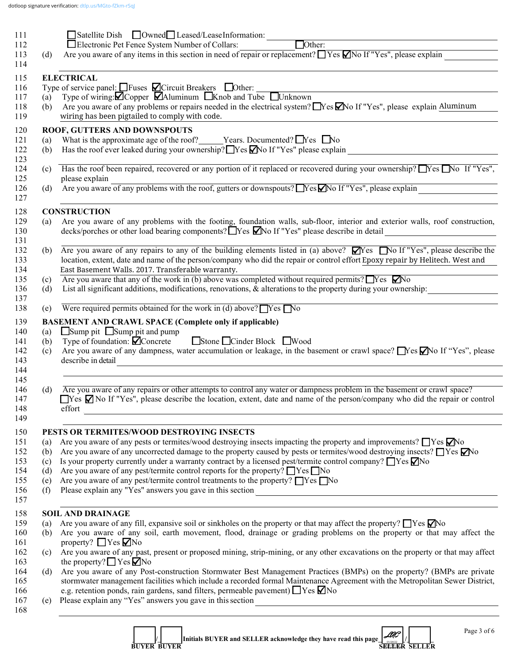|            | ■Satellite Dish ■Owned■ Leased/LeaseInformation:                                                                                                                                                                                                                                                                                                                                                                                                                                                                                                               |
|------------|----------------------------------------------------------------------------------------------------------------------------------------------------------------------------------------------------------------------------------------------------------------------------------------------------------------------------------------------------------------------------------------------------------------------------------------------------------------------------------------------------------------------------------------------------------------|
|            | $\Box$ Other:<br>Electronic Pet Fence System Number of Collars:<br>Are you aware of any items in this section in need of repair or replacement? $\Box$ Yes $\Box$ No If "Yes", please explain                                                                                                                                                                                                                                                                                                                                                                  |
| (d)        |                                                                                                                                                                                                                                                                                                                                                                                                                                                                                                                                                                |
|            | <b>ELECTRICAL</b>                                                                                                                                                                                                                                                                                                                                                                                                                                                                                                                                              |
|            | Type of service panel: $\Box$ Fuses $\Box$ Circuit Breakers $\Box$ Other:                                                                                                                                                                                                                                                                                                                                                                                                                                                                                      |
| (a)        | Type of wiring: O Copper   MAluminum   Knob and Tube   Unknown                                                                                                                                                                                                                                                                                                                                                                                                                                                                                                 |
| (b)        | Are you aware of any problems or repairs needed in the electrical system? Nes Mo If "Yes", please explain Aluminum<br>wiring has been pigtailed to comply with code.                                                                                                                                                                                                                                                                                                                                                                                           |
|            | ROOF, GUTTERS AND DOWNSPOUTS                                                                                                                                                                                                                                                                                                                                                                                                                                                                                                                                   |
| (a)        | What is the approximate age of the roof? _____Years. Documented? $\Box$ Yes $\Box$ No                                                                                                                                                                                                                                                                                                                                                                                                                                                                          |
| (b)        | Has the roof ever leaked during your ownership? TYes Mo If "Yes" please explain                                                                                                                                                                                                                                                                                                                                                                                                                                                                                |
| (c)        | Has the roof been repaired, recovered or any portion of it replaced or recovered during your ownership? $\Gamma$ Yes $\Gamma$ No If "Yes",<br>please explain                                                                                                                                                                                                                                                                                                                                                                                                   |
| (d)        | prease explain<br>Are you aware of any problems with the roof, gutters or downspouts? No If "Yes", please explain                                                                                                                                                                                                                                                                                                                                                                                                                                              |
|            |                                                                                                                                                                                                                                                                                                                                                                                                                                                                                                                                                                |
|            | <b>CONSTRUCTION</b>                                                                                                                                                                                                                                                                                                                                                                                                                                                                                                                                            |
| (a)        | Are you aware of any problems with the footing, foundation walls, sub-floor, interior and exterior walls, roof construction,<br>decks/porches or other load bearing components? Nes Mo If "Yes" please describe in detail<br><u> 1980 - Andrea Station Books, amerikansk politik (</u>                                                                                                                                                                                                                                                                         |
|            | (b) Are you aware of any repairs to any of the building elements listed in (a) above? $\Box$ No If "Yes", please describe the                                                                                                                                                                                                                                                                                                                                                                                                                                  |
|            | location, extent, date and name of the person/company who did the repair or control effort Epoxy repair by Helitech. West and<br>East Basement Walls. 2017. Transferable warranty.                                                                                                                                                                                                                                                                                                                                                                             |
| (c)        | Are you aware that any of the work in (b) above was completed without required permits? $\Box$ Yes $\Box$ No                                                                                                                                                                                                                                                                                                                                                                                                                                                   |
|            |                                                                                                                                                                                                                                                                                                                                                                                                                                                                                                                                                                |
| (d)        |                                                                                                                                                                                                                                                                                                                                                                                                                                                                                                                                                                |
| (e)        | List all significant additions, modifications, renovations, & alterations to the property during your ownership:<br>Were required permits obtained for the work in (d) above? $\Box$ Yes $\Box$ No                                                                                                                                                                                                                                                                                                                                                             |
|            |                                                                                                                                                                                                                                                                                                                                                                                                                                                                                                                                                                |
|            | <b>BASEMENT AND CRAWL SPACE (Complete only if applicable)</b>                                                                                                                                                                                                                                                                                                                                                                                                                                                                                                  |
| (a)        | $\Box$ Sump pit $\Box$ Sump pit and pump                                                                                                                                                                                                                                                                                                                                                                                                                                                                                                                       |
| (b)        | Stone Cinder Block Wood<br>Type of foundation: $\blacksquare$ Concrete                                                                                                                                                                                                                                                                                                                                                                                                                                                                                         |
| (c)        |                                                                                                                                                                                                                                                                                                                                                                                                                                                                                                                                                                |
|            | describe in detail<br><u> 1980 - Andrea Andrew Maria (h. 1980).</u>                                                                                                                                                                                                                                                                                                                                                                                                                                                                                            |
|            |                                                                                                                                                                                                                                                                                                                                                                                                                                                                                                                                                                |
| (d)        | Are you aware of any repairs or other attempts to control any water or dampness problem in the basement or crawl space?<br>effort                                                                                                                                                                                                                                                                                                                                                                                                                              |
|            |                                                                                                                                                                                                                                                                                                                                                                                                                                                                                                                                                                |
|            | PESTS OR TERMITES/WOOD DESTROYING INSECTS                                                                                                                                                                                                                                                                                                                                                                                                                                                                                                                      |
| (a)        | Are you aware of any pests or termites/wood destroying insects impacting the property and improvements? $\Box$ Yes $\Box$ No                                                                                                                                                                                                                                                                                                                                                                                                                                   |
| (b)        | Are you aware of any uncorrected damage to the property caused by pests or termites/wood destroying insects? $\Box$ Yes $\nabla$ No                                                                                                                                                                                                                                                                                                                                                                                                                            |
| (c)        | Is your property currently under a warranty contract by a licensed pest/termite control company? $\Box$ Yes $\Box$ No                                                                                                                                                                                                                                                                                                                                                                                                                                          |
| (d)        | Are you aware of any pest/termite control reports for the property? $\Box$ Yes $\Box$ No                                                                                                                                                                                                                                                                                                                                                                                                                                                                       |
| (e)<br>(f) | Are you aware of any pest/termite control treatments to the property? □Yes □No                                                                                                                                                                                                                                                                                                                                                                                                                                                                                 |
|            | <u> a shekara ta 1999 a shekara ta 1999 a shekara ta 1999 a shekara ta 1999 a shekara ta 1999 a shekara ta 1991 a</u>                                                                                                                                                                                                                                                                                                                                                                                                                                          |
|            | <b>SOIL AND DRAINAGE</b>                                                                                                                                                                                                                                                                                                                                                                                                                                                                                                                                       |
| (a)<br>(b) | Are you aware of any fill, expansive soil or sinkholes on the property or that may affect the property? $\Box$ Yes $\Box$ No                                                                                                                                                                                                                                                                                                                                                                                                                                   |
| (c)        | property? $\Box$ Yes $\nabla$ No                                                                                                                                                                                                                                                                                                                                                                                                                                                                                                                               |
|            | Are you aware of any dampness, water accumulation or leakage, in the basement or crawl space? No If "Yes", please<br>$\Box$ Yes $\Box$ No If "Yes", please describe the location, extent, date and name of the person/company who did the repair or control<br>Are you aware of any soil, earth movement, flood, drainage or grading problems on the property or that may affect the<br>Are you aware of any past, present or proposed mining, strip-mining, or any other excavations on the property or that may affect<br>the property? $\Box$ Yes $\Box$ No |
| (d)        |                                                                                                                                                                                                                                                                                                                                                                                                                                                                                                                                                                |
|            | Are you aware of any Post-construction Stormwater Best Management Practices (BMPs) on the property? (BMPs are private<br>stormwater management facilities which include a recorded formal Maintenance Agreement with the Metropolitan Sewer District,                                                                                                                                                                                                                                                                                                          |
| (e)        | e.g. retention ponds, rain gardens, sand filters, permeable pavement) $\Box$ Yes $\nabla$ No<br>Please explain any "Yes" answers you gave in this section<br><u> 1989 - Johann Stein, marwolaethau a bhann an t-Amhainn an t-Amhainn an t-Amhainn an t-Amhainn an t-Amhainn a</u>                                                                                                                                                                                                                                                                              |

| <b>BUYER BUYER</b> | Initials BUYER and SELLER acknowledge they have read this page $\mathcal{L}$ | LAC''<br>01D4D2<br><b>SEEKER SELLER</b> |  |  |
|--------------------|------------------------------------------------------------------------------|-----------------------------------------|--|--|
|--------------------|------------------------------------------------------------------------------|-----------------------------------------|--|--|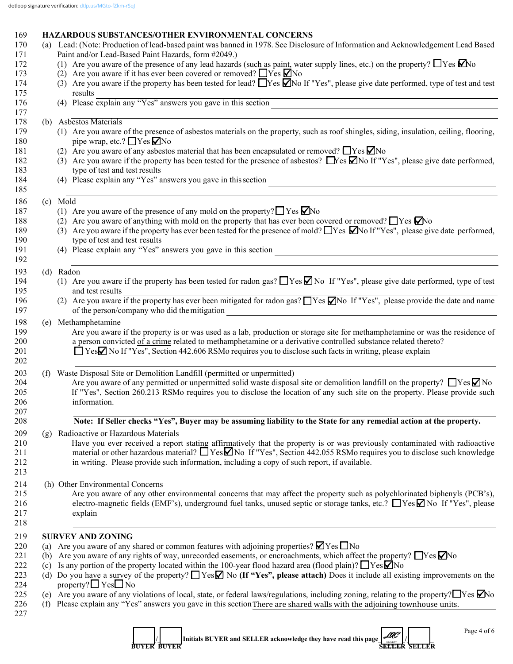# 169 **HAZARDOUS SUBSTANCES/OTHER ENVIRONMENTAL CONCERNS**

|                   | (a) Lead: (Note: Production of lead-based paint was banned in 1978. See Disclosure of Information and Acknowledgement Lead Based                                                                                                                                                                                                                                  |
|-------------------|-------------------------------------------------------------------------------------------------------------------------------------------------------------------------------------------------------------------------------------------------------------------------------------------------------------------------------------------------------------------|
|                   | Paint and/or Lead-Based Paint Hazards, form #2049.)                                                                                                                                                                                                                                                                                                               |
|                   | (1) Are you aware of the presence of any lead hazards (such as paint, water supply lines, etc.) on the property? $\Box$ Yes $\Box$ No                                                                                                                                                                                                                             |
|                   | (2) Are you aware if it has ever been covered or removed? $\Box$ Yes $\Box$ No                                                                                                                                                                                                                                                                                    |
|                   | (3) Are you aware if the property has been tested for lead? Nessan IY and TV es", please give date performed, type of test and test                                                                                                                                                                                                                               |
|                   | results<br>(4) Please explain any "Yes" answers you gave in this section                                                                                                                                                                                                                                                                                          |
| (b)               | Asbestos Materials                                                                                                                                                                                                                                                                                                                                                |
|                   | (1) Are you aware of the presence of asbestos materials on the property, such as roof shingles, siding, insulation, ceiling, flooring,<br>pipe wrap, etc.? ■ Yes ■ No                                                                                                                                                                                             |
|                   | (2) Are you aware of any asbestos material that has been encapsulated or removed? $\Box$ Yes $\nabla$ No                                                                                                                                                                                                                                                          |
|                   | (3) Are you aware if the property has been tested for the presence of asbestos? Nes Mo If "Yes", please give date performed,<br>type of test and test results                                                                                                                                                                                                     |
|                   | (4) Please explain any "Yes" answers you gave in this section                                                                                                                                                                                                                                                                                                     |
|                   | (c) Mold                                                                                                                                                                                                                                                                                                                                                          |
|                   | (1) Are you aware of the presence of any mold on the property? $\Box$ Yes $\Box$ No                                                                                                                                                                                                                                                                               |
|                   | (2) Are you aware of anything with mold on the property that has ever been covered or removed? $\Box$ Yes $\Box$ No                                                                                                                                                                                                                                               |
|                   | (3) Are you aware if the property has ever been tested for the presence of mold? $\Box$ Yes $\Box$ No If "Yes", please give date performed,<br>type of test and test results                                                                                                                                                                                      |
|                   | type of test and test results<br>(4) Please explain any "Yes" answers you gave in this section                                                                                                                                                                                                                                                                    |
|                   |                                                                                                                                                                                                                                                                                                                                                                   |
|                   | (d) Radon                                                                                                                                                                                                                                                                                                                                                         |
|                   | (1) Are you aware if the property has been tested for radon gas? $\Box$ Yes $\Box$ No If "Yes", please give date performed, type of test<br>and test results                                                                                                                                                                                                      |
|                   | (2) Are you aware if the property has ever been mitigated for radon gas? $\Box$ Yes $\Box$ No If "Yes", please provide the date and name<br>of the person/company who did the mitigation<br><u> 1989 - Johann Stoff, deutscher Stoffen und der Stoffen und der Stoffen und der Stoffen und der Stoffen und der</u>                                                |
|                   | (e) Methamphetamine                                                                                                                                                                                                                                                                                                                                               |
|                   | Are you aware if the property is or was used as a lab, production or storage site for methamphetamine or was the residence of<br>a person convicted of a crime related to methamphetamine or a derivative controlled substance related thereto?<br>□ Yes <b></b> No If "Yes", Section 442.606 RSMo requires you to disclose such facts in writing, please explain |
|                   | (f) Waste Disposal Site or Demolition Landfill (permitted or unpermitted)<br>Are you aware of any permitted or unpermitted solid waste disposal site or demolition landfill on the property? $\Box$ Yes $\Box$ No<br>If "Yes", Section 260.213 RSMo requires you to disclose the location of any such site on the property. Please provide such<br>information.   |
|                   | Note: If Seller checks "Yes", Buyer may be assuming liability to the State for any remedial action at the property.                                                                                                                                                                                                                                               |
| (g)               | Radioactive or Hazardous Materials                                                                                                                                                                                                                                                                                                                                |
|                   | Have you ever received a report stating affirmatively that the property is or was previously contaminated with radioactive<br>material or other hazardous material? $\Box$ Yes $\Box$ No If "Yes", Section 442.055 RSMo requires you to disclose such knowledge<br>in writing. Please provide such information, including a copy of such report, if available.    |
|                   | (h) Other Environmental Concerns                                                                                                                                                                                                                                                                                                                                  |
|                   | Are you aware of any other environmental concerns that may affect the property such as polychlorinated biphenyls (PCB's),<br>electro-magnetic fields (EMF's), underground fuel tanks, unused septic or storage tanks, etc.? $\Box$ Yes $\Box$ No If "Yes", please<br>explain                                                                                      |
|                   | <b>SURVEY AND ZONING</b>                                                                                                                                                                                                                                                                                                                                          |
| (a)               | Are you aware of any shared or common features with adjoining properties? $\blacksquare$ Yes $\blacksquare$ No                                                                                                                                                                                                                                                    |
| (b)               | Are you aware of any rights of way, unrecorded easements, or encroachments, which affect the property? $\Box$ Yes $\Box$ No                                                                                                                                                                                                                                       |
| (c)               | Is any portion of the property located within the 100-year flood hazard area (flood plain)? $\Box$ Yes $\Box$ No                                                                                                                                                                                                                                                  |
|                   | Do you have a survey of the property? $\Box$ Yes $\Box$ No (If "Yes", please attach) Does it include all existing improvements on the<br>property? $\Box$ Yes $\Box$ No                                                                                                                                                                                           |
|                   | Are you aware of any violations of local, state, or federal laws/regulations, including zoning, relating to the property? $\Box$ Yes $\Box$ No<br>Please explain any "Yes" answers you gave in this section There are shared walls with the adjoining townhouse units.                                                                                            |
| (d)<br>(e)<br>(f) | Page 4 of 6<br>Initials BUYER and SELLER acknowledge they have read this page<br><b>BUYER BUYER</b><br>SELLER SELLER                                                                                                                                                                                                                                              |

 **BUYER BUYER SELLER SELLER**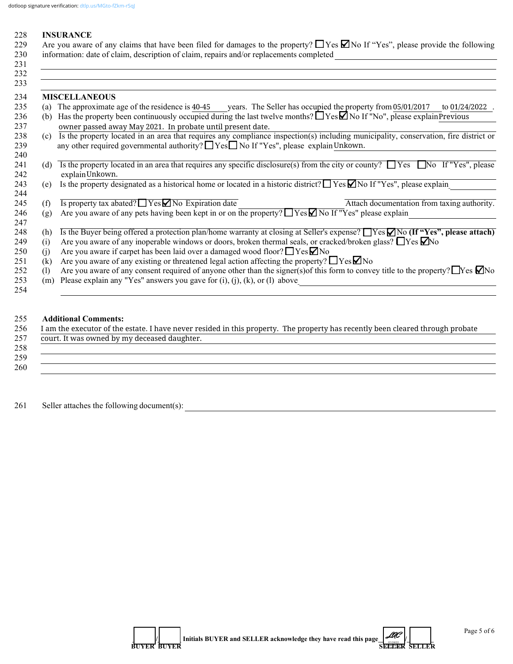#### 228 **INSURANCE**

| 229 Are you aware of any claims that have been filed for damages to the property? $\Box$ Yes $\Box$ No If "Yes", please provide the following |
|-----------------------------------------------------------------------------------------------------------------------------------------------|
| 230 information: date of claim, description of claim, repairs and/or replacements completed                                                   |

| 231 |     |                                                                                                                                             |
|-----|-----|---------------------------------------------------------------------------------------------------------------------------------------------|
| 232 |     |                                                                                                                                             |
| 233 |     |                                                                                                                                             |
| 234 |     | <b>MISCELLANEOUS</b>                                                                                                                        |
| 235 |     | (a) The approximate age of the residence is 40-45 vears. The Seller has occupied the property from 05/01/2017<br>to 01/24/2022              |
| 236 | (b) | Has the property been continuously occupied during the last twelve months? $\Box$ Yes $\Box$ No If "No", please explainPrevious             |
| 237 |     | owner passed away May 2021. In probate until present date.                                                                                  |
| 238 |     | (c) Is the property located in an area that requires any compliance inspection(s) including municipality, conservation, fire district or    |
| 239 |     | any other required governmental authority? $\Box$ Yes $\Box$ No If "Yes", please explain Unkown.                                            |
| 240 |     |                                                                                                                                             |
| 241 | (d) | Is the property located in an area that requires any specific disclosure(s) from the city or county? $\Box$ Yes $\Box$ No If "Yes", please  |
| 242 |     | explainUnkown.                                                                                                                              |
| 243 | (e) | Is the property designated as a historical home or located in a historic district? $\Box$ Yes $\Box$ No If "Yes", please explain            |
| 244 |     |                                                                                                                                             |
| 245 | (f) | Is property tax abated? $\Box$ Yes $\Box$ No Expiration date<br>Attach documentation from taxing authority.                                 |
| 246 | (g) | Are you aware of any pets having been kept in or on the property? TYes No If "Yes" please explain                                           |
| 247 |     |                                                                                                                                             |
| 248 | (h) | Is the Buyer being offered a protection plan/home warranty at closing at Seller's expense? TYes $\Box$ No (If "Yes", please attach)         |
| 249 | (i) | Are you aware of any inoperable windows or doors, broken thermal seals, or cracked/broken glass? $\Box$ Yes $\Box$ No                       |
| 250 | (i) | Are you aware if carpet has been laid over a damaged wood floor? $\Box$ Yes $\nabla$ No                                                     |
| 251 | (k) | Are you aware of any existing or threatened legal action affecting the property? $\Box$ Yes $\Box$ No                                       |
| 252 | (1) | Are you aware of any consent required of anyone other than the signer(s) of this form to convey title to the property? $\Box$ Yes $\Box$ No |
| 253 | (m) | Please explain any "Yes" answers you gave for $(i)$ , $(i)$ , $(k)$ , or $(l)$ above                                                        |
| 254 |     |                                                                                                                                             |

## 255 **Additional Comments:**

| 256 | I am the executor of the estate. I have never resided in this property. The property has recently been cleared through probate |
|-----|--------------------------------------------------------------------------------------------------------------------------------|
| 257 | court. It was owned by my deceased daughter.                                                                                   |
| 258 |                                                                                                                                |
| 259 |                                                                                                                                |
| 260 |                                                                                                                                |
|     |                                                                                                                                |

261 Seller attaches the following document(s): \_\_\_\_\_\_\_\_\_\_\_\_\_\_\_\_\_\_\_\_\_\_\_\_\_\_\_\_\_\_\_\_\_\_